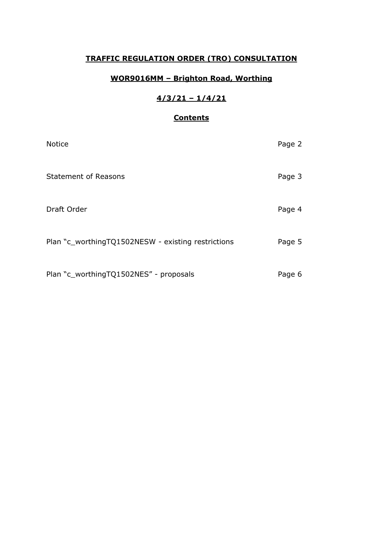## **TRAFFIC REGULATION ORDER (TRO) CONSULTATION**

## **WOR9016MM – Brighton Road, Worthing**

# **4/3/21 – 1/4/21**

## **Contents**

| <b>Notice</b>                                      | Page 2 |
|----------------------------------------------------|--------|
| <b>Statement of Reasons</b>                        | Page 3 |
| Draft Order                                        | Page 4 |
| Plan "c_worthingTQ1502NESW - existing restrictions | Page 5 |
| Plan "c_worthingTQ1502NES" - proposals             | Page 6 |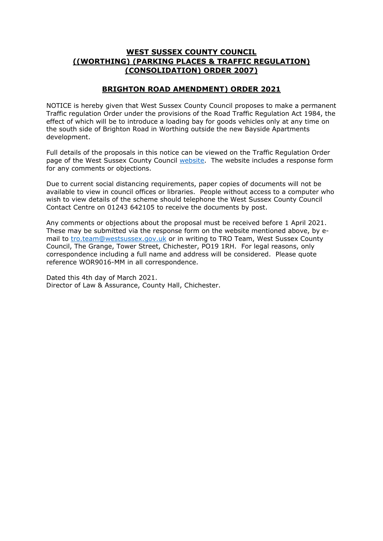### **WEST SUSSEX COUNTY COUNCIL ((WORTHING) (PARKING PLACES & TRAFFIC REGULATION) (CONSOLIDATION) ORDER 2007)**

#### **BRIGHTON ROAD AMENDMENT) ORDER 2021**

NOTICE is hereby given that West Sussex County Council proposes to make a permanent Traffic regulation Order under the provisions of the Road Traffic Regulation Act 1984, the effect of which will be to introduce a loading bay for goods vehicles only at any time on the south side of Brighton Road in Worthing outside the new Bayside Apartments development.

Full details of the proposals in this notice can be viewed on the Traffic Regulation Order page of the West Sussex County Council [website.](https://www.westsussex.gov.uk/roads-and-travel/traffic-regulation-orders/) The website includes a response form for any comments or objections.

Due to current social distancing requirements, paper copies of documents will not be available to view in council offices or libraries. People without access to a computer who wish to view details of the scheme should telephone the West Sussex County Council Contact Centre on 01243 642105 to receive the documents by post.

Any comments or objections about the proposal must be received before 1 April 2021. These may be submitted via the response form on the website mentioned above, by email to [tro.team@westsussex.gov.uk](mailto:tro.team@westsussex.gov.uk) or in writing to TRO Team, West Sussex County Council, The Grange, Tower Street, Chichester, PO19 1RH. For legal reasons, only correspondence including a full name and address will be considered. Please quote reference WOR9016-MM in all correspondence.

Dated this 4th day of March 2021. Director of Law & Assurance, County Hall, Chichester.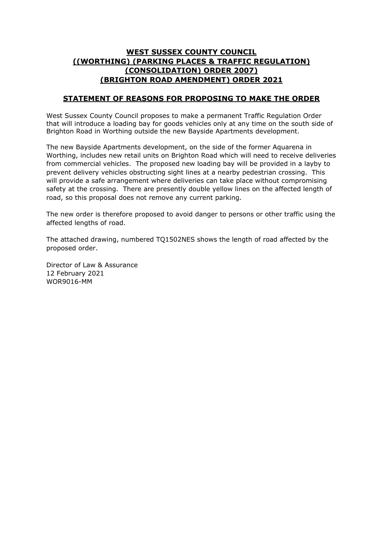## **WEST SUSSEX COUNTY COUNCIL ((WORTHING) (PARKING PLACES & TRAFFIC REGULATION) (CONSOLIDATION) ORDER 2007) (BRIGHTON ROAD AMENDMENT) ORDER 2021**

#### **STATEMENT OF REASONS FOR PROPOSING TO MAKE THE ORDER**

West Sussex County Council proposes to make a permanent Traffic Regulation Order that will introduce a loading bay for goods vehicles only at any time on the south side of Brighton Road in Worthing outside the new Bayside Apartments development.

The new Bayside Apartments development, on the side of the former Aquarena in Worthing, includes new retail units on Brighton Road which will need to receive deliveries from commercial vehicles. The proposed new loading bay will be provided in a layby to prevent delivery vehicles obstructing sight lines at a nearby pedestrian crossing. This will provide a safe arrangement where deliveries can take place without compromising safety at the crossing. There are presently double yellow lines on the affected length of road, so this proposal does not remove any current parking.

The new order is therefore proposed to avoid danger to persons or other traffic using the affected lengths of road.

The attached drawing, numbered TQ1502NES shows the length of road affected by the proposed order.

Director of Law & Assurance 12 February 2021 WOR9016-MM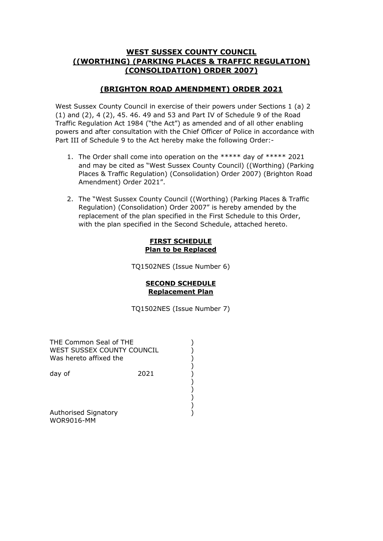### **WEST SUSSEX COUNTY COUNCIL ((WORTHING) (PARKING PLACES & TRAFFIC REGULATION) (CONSOLIDATION) ORDER 2007)**

## **(BRIGHTON ROAD AMENDMENT) ORDER 2021**

West Sussex County Council in exercise of their powers under Sections 1 (a) 2 (1) and (2), 4 (2), 45. 46. 49 and 53 and Part IV of Schedule 9 of the Road Traffic Regulation Act 1984 ("the Act") as amended and of all other enabling powers and after consultation with the Chief Officer of Police in accordance with Part III of Schedule 9 to the Act hereby make the following Order:-

- 1. The Order shall come into operation on the \*\*\*\*\* day of \*\*\*\*\* 2021 and may be cited as "West Sussex County Council) ((Worthing) (Parking Places & Traffic Regulation) (Consolidation) Order 2007) (Brighton Road Amendment) Order 2021".
- 2. The "West Sussex County Council ((Worthing) (Parking Places & Traffic Regulation) (Consolidation) Order 2007" is hereby amended by the replacement of the plan specified in the First Schedule to this Order, with the plan specified in the Second Schedule, attached hereto.

#### **FIRST SCHEDULE Plan to be Replaced**

TQ1502NES (Issue Number 6)

#### **SECOND SCHEDULE Replacement Plan**

TQ1502NES (Issue Number 7)

) ) ) ) ) ) ) ) ) )

| THE Common Seal of THE<br>WEST SUSSEX COUNTY COUNCIL<br>Was hereto affixed the |      |  |
|--------------------------------------------------------------------------------|------|--|
| day of                                                                         | 2021 |  |
|                                                                                |      |  |
| Authoricad Cianatory                                                           |      |  |

Authorised Signatory WOR9016-MM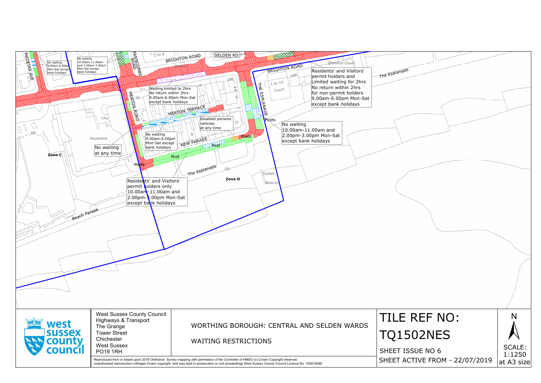